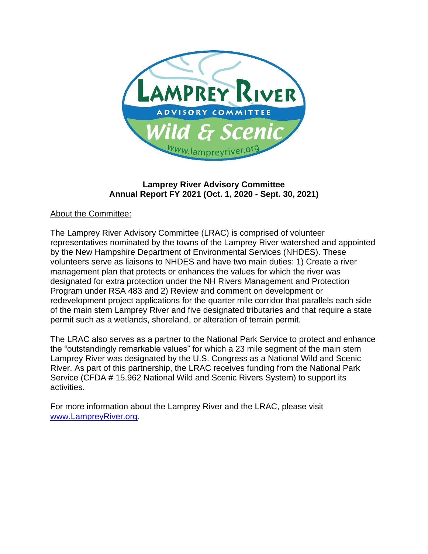

# **Lamprey River Advisory Committee Annual Report FY 2021 (Oct. 1, 2020 - Sept. 30, 2021)**

### About the Committee:

The Lamprey River Advisory Committee (LRAC) is comprised of volunteer representatives nominated by the towns of the Lamprey River watershed and appointed by the New Hampshire Department of Environmental Services (NHDES). These volunteers serve as liaisons to NHDES and have two main duties: 1) Create a river management plan that protects or enhances the values for which the river was designated for extra protection under the NH Rivers Management and Protection Program under RSA 483 and 2) Review and comment on development or redevelopment project applications for the quarter mile corridor that parallels each side of the main stem Lamprey River and five designated tributaries and that require a state permit such as a wetlands, shoreland, or alteration of terrain permit.

The LRAC also serves as a partner to the National Park Service to protect and enhance the "outstandingly remarkable values" for which a 23 mile segment of the main stem Lamprey River was designated by the U.S. Congress as a National Wild and Scenic River. As part of this partnership, the LRAC receives funding from the National Park Service (CFDA # 15.962 National Wild and Scenic Rivers System) to support its activities.

For more information about the Lamprey River and the LRAC, please visit [www.LampreyRiver.org.](http://www.lampreyriver.org/)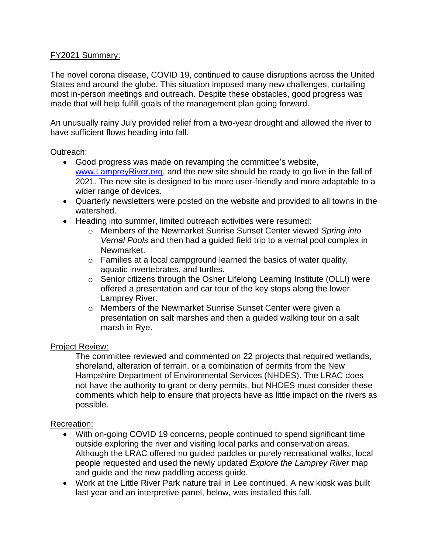### FY2021 Summary:

The novel corona disease, COVID 19, continued to cause disruptions across the United States and around the globe. This situation imposed many new challenges, curtailing most in-person meetings and outreach. Despite these obstacles, good progress was made that will help fulfill goals of the management plan going forward.

An unusually rainy July provided relief from a two-year drought and allowed the river to have sufficient flows heading into fall.

#### Outreach:

- Good progress was made on revamping the committee's website, [www.LampreyRiver.org,](http://www.lampreyriver.org/) and the new site should be ready to go live in the fall of 2021. The new site is designed to be more user-friendly and more adaptable to a wider range of devices.
- Quarterly newsletters were posted on the website and provided to all towns in the watershed.
- Heading into summer, limited outreach activities were resumed:
	- o Members of the Newmarket Sunrise Sunset Center viewed *Spring into Vernal Pools* and then had a guided field trip to a vernal pool complex in Newmarket.
	- $\circ$  Families at a local campground learned the basics of water quality, aquatic invertebrates, and turtles.
	- o Senior citizens through the Osher Lifelong Learning Institute (OLLI) were offered a presentation and car tour of the key stops along the lower Lamprey River.
	- o Members of the Newmarket Sunrise Sunset Center were given a presentation on salt marshes and then a guided walking tour on a salt marsh in Rye.

#### Project Review:

The committee reviewed and commented on 22 projects that required wetlands, shoreland, alteration of terrain, or a combination of permits from the New Hampshire Department of Environmental Services (NHDES). The LRAC does not have the authority to grant or deny permits, but NHDES must consider these comments which help to ensure that projects have as little impact on the rivers as possible.

#### Recreation:

- With on-going COVID 19 concerns, people continued to spend significant time outside exploring the river and visiting local parks and conservation areas. Although the LRAC offered no guided paddles or purely recreational walks, local people requested and used the newly updated *Explore the Lamprey River* map and guide and the new paddling access guide.
- Work at the Little River Park nature trail in Lee continued. A new kiosk was built last year and an interpretive panel, below, was installed this fall.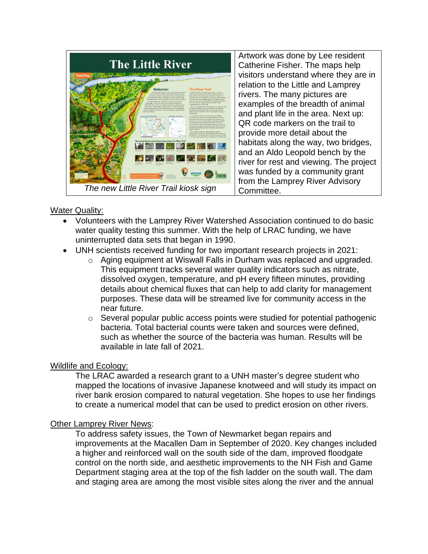

Artwork was done by Lee resident Catherine Fisher. The maps help visitors understand where they are in relation to the Little and Lamprey rivers. The many pictures are examples of the breadth of animal and plant life in the area. Next up: QR code markers on the trail to provide more detail about the habitats along the way, two bridges, and an Aldo Leopold bench by the river for rest and viewing. The project was funded by a community grant from the Lamprey River Advisory Committee.

### **Water Quality:**

- Volunteers with the Lamprey River Watershed Association continued to do basic water quality testing this summer. With the help of LRAC funding, we have uninterrupted data sets that began in 1990.
- UNH scientists received funding for two important research projects in 2021:
	- o Aging equipment at Wiswall Falls in Durham was replaced and upgraded. This equipment tracks several water quality indicators such as nitrate, dissolved oxygen, temperature, and pH every fifteen minutes, providing details about chemical fluxes that can help to add clarity for management purposes. These data will be streamed live for community access in the near future.
	- o Several popular public access points were studied for potential pathogenic bacteria. Total bacterial counts were taken and sources were defined, such as whether the source of the bacteria was human. Results will be available in late fall of 2021.

# Wildlife and Ecology:

The LRAC awarded a research grant to a UNH master's degree student who mapped the locations of invasive Japanese knotweed and will study its impact on river bank erosion compared to natural vegetation. She hopes to use her findings to create a numerical model that can be used to predict erosion on other rivers.

#### Other Lamprey River News:

To address safety issues, the Town of Newmarket began repairs and improvements at the Macallen Dam in September of 2020. Key changes included a higher and reinforced wall on the south side of the dam, improved floodgate control on the north side, and aesthetic improvements to the NH Fish and Game Department staging area at the top of the fish ladder on the south wall. The dam and staging area are among the most visible sites along the river and the annual